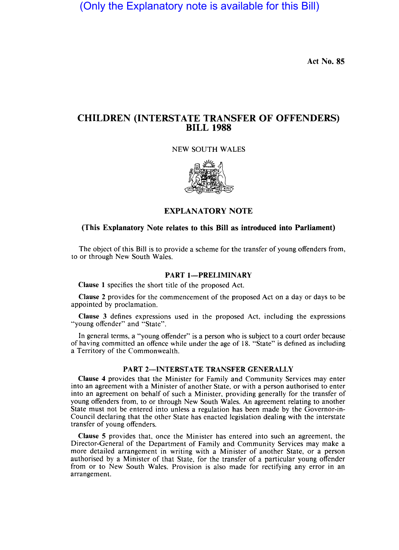(Only the Explanatory note is available for this Bill)

Act No. 85

# CHILDREN (INTERSTATE TRANSFER OF OFFENDERS) BILL 1988

NEW SOUTH WALES



EXPLANATORY NOTE

## (This Explanatory Note relates to this Bill as introduced into Parliament)

The object of this Bill is to provide a scheme for the transfer of young offenders from, to or through New South Wales.

### PART 1-PRELIMINARY

Clause I specifies the short title of the proposed Act.

Clause 2 provides for the commencement of the proposed Act on a day or days to be appointed by proclamation.

Clause 3 defines expressions used in the proposed Act, including the expressions "young offender" and "State".

In general terms, a "young offender" is a person who is subject to a court order because of having committed an offence while under the age of 18. "State" is defined as including a Territory of the Commonwealth.

## PART 2-INTERSTATE TRANSFER GENERALLY

Clause 4 provides that the Minister for Family and Community Services may enter into an agreement with a Minister of another State, or with a person authorised to enter into an agreement on behalf of such a Minister, providing generally for the transfer of young offenders from, to or through New South Wales. An agreement relating to another State must not be entered into unless a regulation has been made by the Governor-in-Council declaring that the other State has enacted legislation dealing with the interstate transfer of young offenders.

Clause 5 provides that, once the Minister has entered into such an agreement, the Director-General of the Department of Family and Community Services may make a more detailed arrangement in writing with a Minister of another State, or a person authorised by a Minister of that State, for the transfer of a particular young offender from or to New South Wales. Provision is also made for rectifying any error in an arrangement.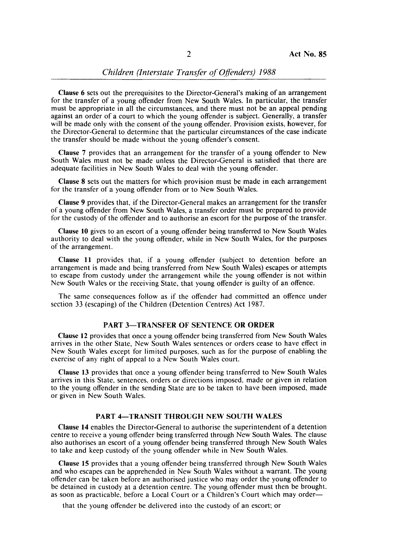## *Children (Interstate Transfer of Offenders)* 1988

Clause 6 sets out the prerequisites to the Director-General's making of an arrangement for the transfer of a young offender from New South Wales. In particular, the transfer must be appropriate in all the circumstances, and there must not be an appeal pending against an order of a court to which the young offender is subject. Generally, a transfer will be made only with the consent of the young offender. Provision exists, however, for the Director-General to determine that the particular circumstances of the case indicate the transfer should be made without the young offender's consent.

Clause 7 provides that an arrangement for the transfer of a young offender to New South Wales must not be made unless the Director-General is satisfied that there are adequate facilities in New South Wales to deal with the young offender.

Clause 8 sets out the matters for which provision must be made in each arrangement for the transfer of a young offender from or to New South Wales.

Clause 9 provides that, if the Director-General makes an arrangement for the transfer of a young offender from New South Wales, a transfer order must be prepared to provide for the custody of the offender and to authorise an escort for the purpose of the transfer.

Clause 10 gives to an escort of a young offender being transferred to New South Wales authority to deal with the young offender, while in New South Wales, for the purposes of the arrangement.

Clause 11 provides that, if a young offender (subject to detention before an arrangement is made and being transferred from New South Wales) escapes or attempts to escape from custody under the arrangement while the young offender is not within New South Wales or the receiving State, that young offender is guilty of an offence.

The same consequences follow as if the offender had committed an offence under section 33 (escaping) of the Children (Detention Centres) Act 1987.

## PART 3-TRANSFER OF SENTENCE OR ORDER

Clause 12 provides that once a young offender being transferred from New South Wales arrives in the other State, New South Wales sentences or orders cease to have effect in New South Wales except for limited purposes, such as for the purpose of enabling the exercise of any right of appeal to a New South Wales court.

Clause 13 provides that once a young offender being transferred to New South Wales arrives in this State, sentences, orders or directions imposed, made or given in relation to the young offender in the sending State are to be taken to have been imposed, made or given in New South Wales.

## PART 4-TRANSIT THROUGH NEW SOUTH WALES

Clause 14 enables the Director-General to authorise the superintendent of a detention centre to receive a young offender being transferred through New South Wales. The clause also authorises an escort of a young offender being transferred through New South Wales to take and keep custody of the young offender while in New South Wales.

Clause 15 provides that a young offender being transferred through New South Wales and who escapes can be apprehended in New South Wales without a warrant. The young offender can be taken before an authorised justice who may order the young offender to be detained in custody at a detention centre. The young offender must then be brought. as soon as practicable, before a Local Court or a Children's Court which may order—

that the young offender be delivered into the custody of an escort; or